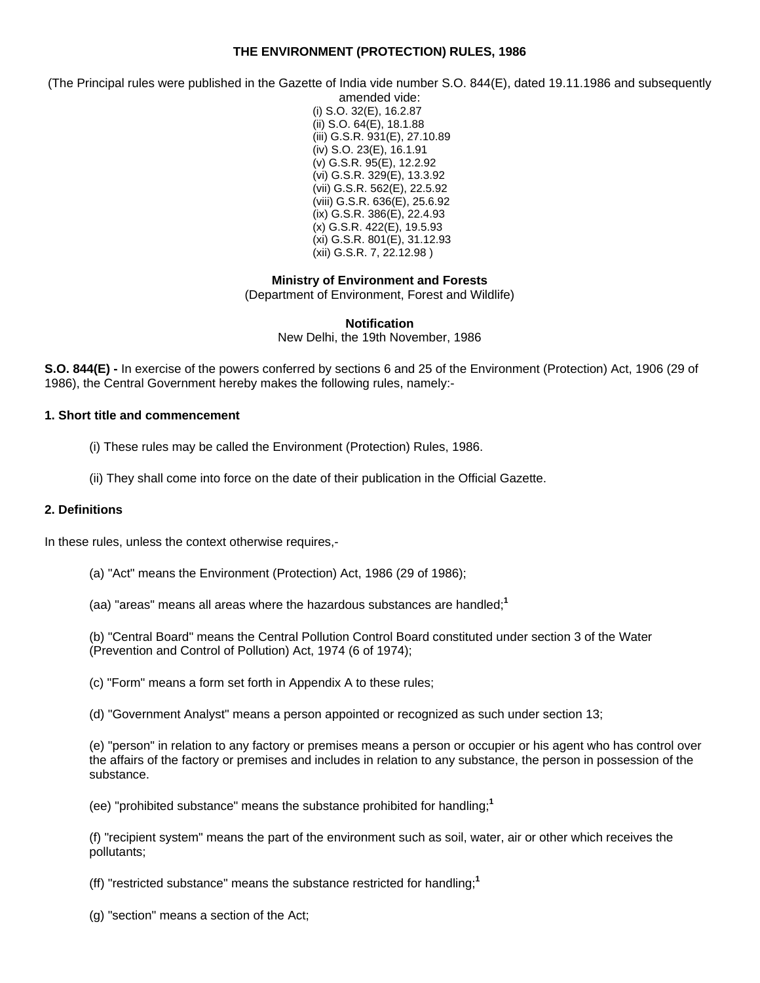## **THE ENVIRONMENT (PROTECTION) RULES, 1986**

(The Principal rules were published in the Gazette of India vide number S.O. 844(E), dated 19.11.1986 and subsequently

amended vide: (i) S.O. 32(E), 16.2.87 (ii) S.O. 64(E), 18.1.88 (iii) G.S.R. 931(E), 27.10.89 (iv) S.O. 23(E), 16.1.91 (v) G.S.R. 95(E), 12.2.92 (vi) G.S.R. 329(E), 13.3.92 (vii) G.S.R. 562(E), 22.5.92 (viii) G.S.R. 636(E), 25.6.92 (ix) G.S.R. 386(E), 22.4.93 (x) G.S.R. 422(E), 19.5.93 (xi) G.S.R. 801(E), 31.12.93 (xii) G.S.R. 7, 22.12.98 )

**Ministry of Environment and Forests**

(Department of Environment, Forest and Wildlife)

**Notification**

New Delhi, the 19th November, 1986

**S.O. 844(E) -** In exercise of the powers conferred by sections 6 and 25 of the Environment (Protection) Act, 1906 (29 of 1986), the Central Government hereby makes the following rules, namely:-

#### **1. Short title and commencement**

(i) These rules may be called the Environment (Protection) Rules, 1986.

(ii) They shall come into force on the date of their publication in the Official Gazette.

### **2. Definitions**

In these rules, unless the context otherwise requires,-

- (a) "Act" means the Environment (Protection) Act, 1986 (29 of 1986);
- (aa) "areas" means all areas where the hazardous substances are handled;**<sup>1</sup>**

(b) "Central Board" means the Central Pollution Control Board constituted under section 3 of the Water (Prevention and Control of Pollution) Act, 1974 (6 of 1974);

(c) "Form" means a form set forth in Appendix A to these rules;

(d) "Government Analyst" means a person appointed or recognized as such under section 13;

(e) "person" in relation to any factory or premises means a person or occupier or his agent who has control over the affairs of the factory or premises and includes in relation to any substance, the person in possession of the substance.

(ee) "prohibited substance" means the substance prohibited for handling;**<sup>1</sup>**

(f) "recipient system" means the part of the environment such as soil, water, air or other which receives the pollutants;

(ff) "restricted substance" means the substance restricted for handling;**<sup>1</sup>**

(g) "section" means a section of the Act;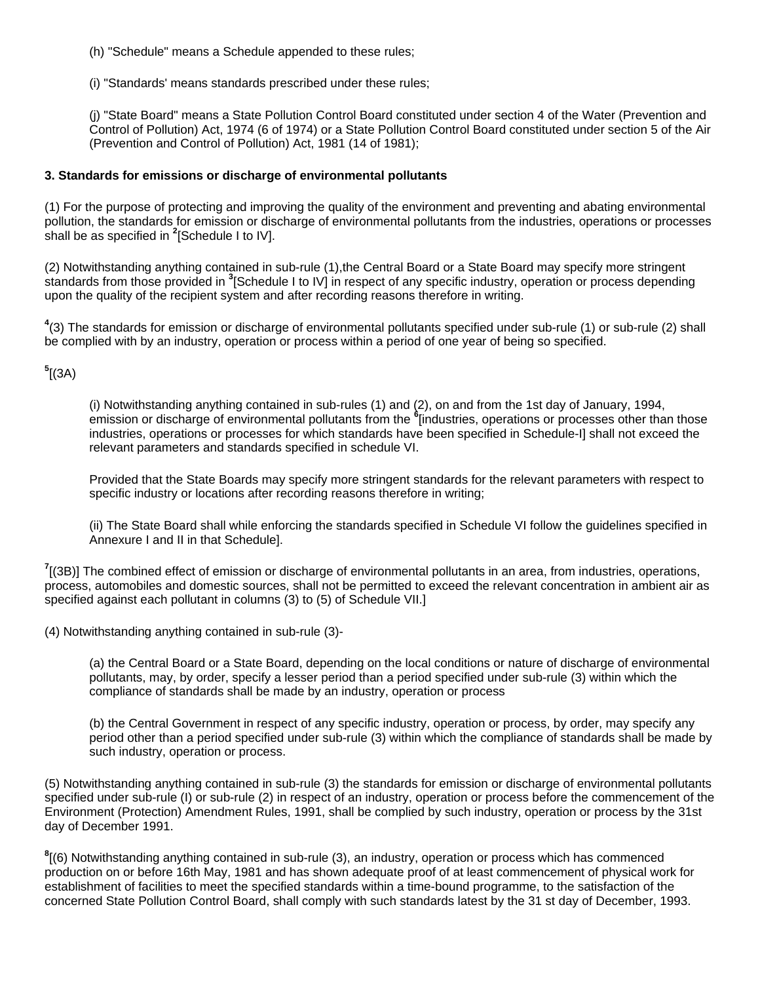(h) "Schedule" means a Schedule appended to these rules;

(i) "Standards' means standards prescribed under these rules;

(j) "State Board" means a State Pollution Control Board constituted under section 4 of the Water (Prevention and Control of Pollution) Act, 1974 (6 of 1974) or a State Pollution Control Board constituted under section 5 of the Air (Prevention and Control of Pollution) Act, 1981 (14 of 1981);

## **3. Standards for emissions or discharge of environmental pollutants**

(1) For the purpose of protecting and improving the quality of the environment and preventing and abating environmental pollution, the standards for emission or discharge of environmental pollutants from the industries, operations or processes shall be as specified in **<sup>2</sup>** [Schedule I to IV].

(2) Notwithstanding anything contained in sub-rule (1),the Central Board or a State Board may specify more stringent standards from those provided in **<sup>3</sup>** [Schedule I to IV] in respect of any specific industry, operation or process depending upon the quality of the recipient system and after recording reasons therefore in writing.

**4** (3) The standards for emission or discharge of environmental pollutants specified under sub-rule (1) or sub-rule (2) shall be complied with by an industry, operation or process within a period of one year of being so specified.

**5** [(3A)

(i) Notwithstanding anything contained in sub-rules (1) and (2), on and from the 1st day of January, 1994, emission or discharge of environmental pollutants from the **<sup>6</sup>** [industries, operations or processes other than those industries, operations or processes for which standards have been specified in Schedule-I] shall not exceed the relevant parameters and standards specified in schedule VI.

Provided that the State Boards may specify more stringent standards for the relevant parameters with respect to specific industry or locations after recording reasons therefore in writing;

(ii) The State Board shall while enforcing the standards specified in Schedule VI follow the guidelines specified in Annexure I and II in that Schedule].

**7** [(3B)] The combined effect of emission or discharge of environmental pollutants in an area, from industries, operations, process, automobiles and domestic sources, shall not be permitted to exceed the relevant concentration in ambient air as specified against each pollutant in columns (3) to (5) of Schedule VII.]

(4) Notwithstanding anything contained in sub-rule (3)-

(a) the Central Board or a State Board, depending on the local conditions or nature of discharge of environmental pollutants, may, by order, specify a lesser period than a period specified under sub-rule (3) within which the compliance of standards shall be made by an industry, operation or process

(b) the Central Government in respect of any specific industry, operation or process, by order, may specify any period other than a period specified under sub-rule (3) within which the compliance of standards shall be made by such industry, operation or process.

(5) Notwithstanding anything contained in sub-rule (3) the standards for emission or discharge of environmental pollutants specified under sub-rule (I) or sub-rule (2) in respect of an industry, operation or process before the commencement of the Environment (Protection) Amendment Rules, 1991, shall be complied by such industry, operation or process by the 31st day of December 1991.

**8** [(6) Notwithstanding anything contained in sub-rule (3), an industry, operation or process which has commenced production on or before 16th May, 1981 and has shown adequate proof of at least commencement of physical work for establishment of facilities to meet the specified standards within a time-bound programme, to the satisfaction of the concerned State Pollution Control Board, shall comply with such standards latest by the 31 st day of December, 1993.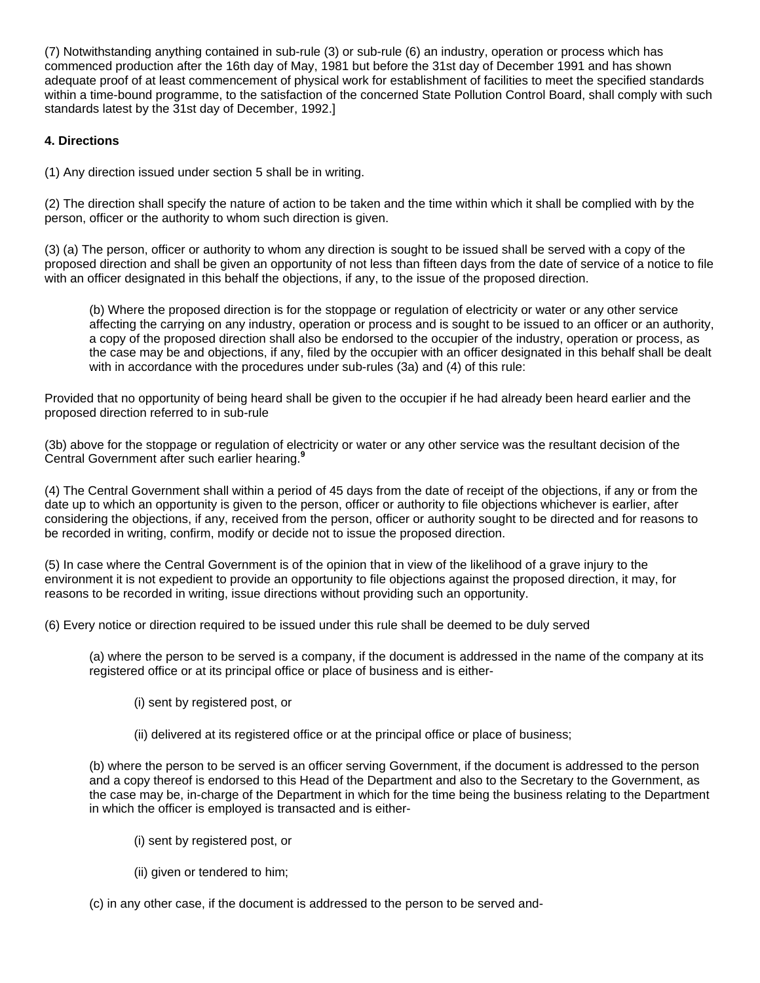(7) Notwithstanding anything contained in sub-rule (3) or sub-rule (6) an industry, operation or process which has commenced production after the 16th day of May, 1981 but before the 31st day of December 1991 and has shown adequate proof of at least commencement of physical work for establishment of facilities to meet the specified standards within a time-bound programme, to the satisfaction of the concerned State Pollution Control Board, shall comply with such standards latest by the 31st day of December, 1992.]

# **4. Directions**

(1) Any direction issued under section 5 shall be in writing.

(2) The direction shall specify the nature of action to be taken and the time within which it shall be complied with by the person, officer or the authority to whom such direction is given.

(3) (a) The person, officer or authority to whom any direction is sought to be issued shall be served with a copy of the proposed direction and shall be given an opportunity of not less than fifteen days from the date of service of a notice to file with an officer designated in this behalf the objections, if any, to the issue of the proposed direction.

(b) Where the proposed direction is for the stoppage or regulation of electricity or water or any other service affecting the carrying on any industry, operation or process and is sought to be issued to an officer or an authority, a copy of the proposed direction shall also be endorsed to the occupier of the industry, operation or process, as the case may be and objections, if any, filed by the occupier with an officer designated in this behalf shall be dealt with in accordance with the procedures under sub-rules (3a) and (4) of this rule:

Provided that no opportunity of being heard shall be given to the occupier if he had already been heard earlier and the proposed direction referred to in sub-rule

(3b) above for the stoppage or regulation of electricity or water or any other service was the resultant decision of the Central Government after such earlier hearing.<sup>9</sup>

(4) The Central Government shall within a period of 45 days from the date of receipt of the objections, if any or from the date up to which an opportunity is given to the person, officer or authority to file objections whichever is earlier, after considering the objections, if any, received from the person, officer or authority sought to be directed and for reasons to be recorded in writing, confirm, modify or decide not to issue the proposed direction.

(5) In case where the Central Government is of the opinion that in view of the likelihood of a grave injury to the environment it is not expedient to provide an opportunity to file objections against the proposed direction, it may, for reasons to be recorded in writing, issue directions without providing such an opportunity.

(6) Every notice or direction required to be issued under this rule shall be deemed to be duly served

(a) where the person to be served is a company, if the document is addressed in the name of the company at its registered office or at its principal office or place of business and is either-

- (i) sent by registered post, or
- (ii) delivered at its registered office or at the principal office or place of business;

(b) where the person to be served is an officer serving Government, if the document is addressed to the person and a copy thereof is endorsed to this Head of the Department and also to the Secretary to the Government, as the case may be, in-charge of the Department in which for the time being the business relating to the Department in which the officer is employed is transacted and is either-

- (i) sent by registered post, or
- (ii) given or tendered to him;
- (c) in any other case, if the document is addressed to the person to be served and-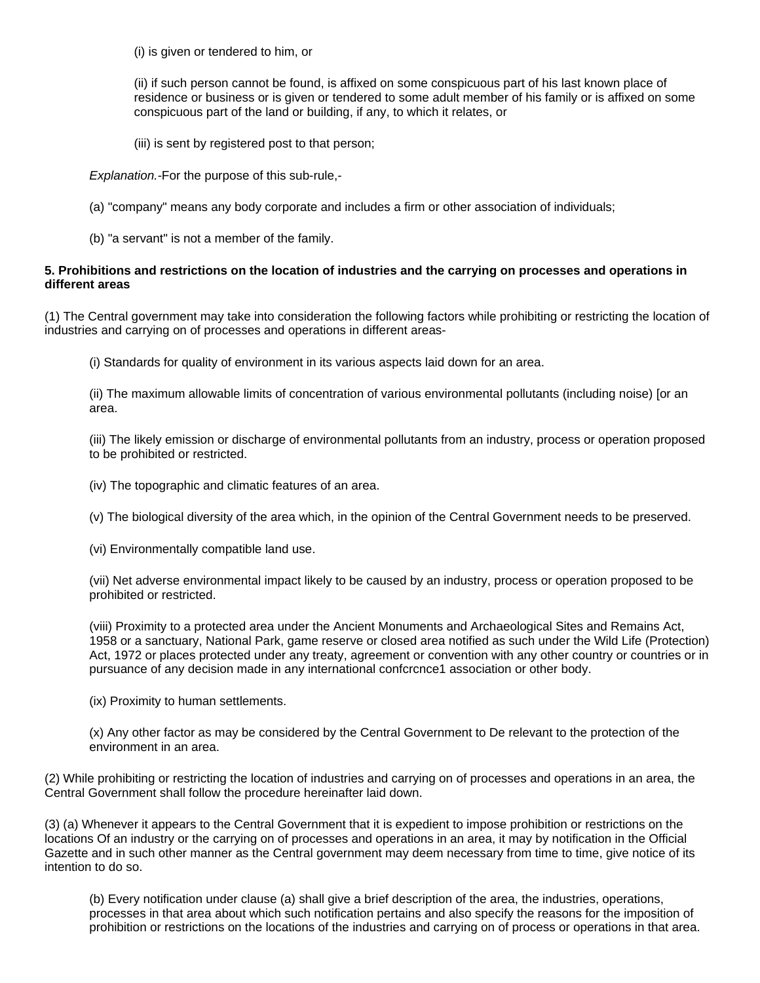(i) is given or tendered to him, or

(ii) if such person cannot be found, is affixed on some conspicuous part of his last known place of residence or business or is given or tendered to some adult member of his family or is affixed on some conspicuous part of the land or building, if any, to which it relates, or

(iii) is sent by registered post to that person;

*Explanation.-*For the purpose of this sub-rule,-

- (a) "company" means any body corporate and includes a firm or other association of individuals;
- (b) "a servant" is not a member of the family.

## **5. Prohibitions and restrictions on the location of industries and the carrying on processes and operations in different areas**

(1) The Central government may take into consideration the following factors while prohibiting or restricting the location of industries and carrying on of processes and operations in different areas-

(i) Standards for quality of environment in its various aspects laid down for an area.

(ii) The maximum allowable limits of concentration of various environmental pollutants (including noise) [or an area.

(iii) The likely emission or discharge of environmental pollutants from an industry, process or operation proposed to be prohibited or restricted.

(iv) The topographic and climatic features of an area.

(v) The biological diversity of the area which, in the opinion of the Central Government needs to be preserved.

(vi) Environmentally compatible land use.

(vii) Net adverse environmental impact likely to be caused by an industry, process or operation proposed to be prohibited or restricted.

(viii) Proximity to a protected area under the Ancient Monuments and Archaeological Sites and Remains Act, 1958 or a sanctuary, National Park, game reserve or closed area notified as such under the Wild Life (Protection) Act, 1972 or places protected under any treaty, agreement or convention with any other country or countries or in pursuance of any decision made in any international confcrcnce1 association or other body.

(ix) Proximity to human settlements.

(x) Any other factor as may be considered by the Central Government to De relevant to the protection of the environment in an area.

(2) While prohibiting or restricting the location of industries and carrying on of processes and operations in an area, the Central Government shall follow the procedure hereinafter laid down.

(3) (a) Whenever it appears to the Central Government that it is expedient to impose prohibition or restrictions on the locations Of an industry or the carrying on of processes and operations in an area, it may by notification in the Official Gazette and in such other manner as the Central government may deem necessary from time to time, give notice of its intention to do so.

(b) Every notification under clause (a) shall give a brief description of the area, the industries, operations, processes in that area about which such notification pertains and also specify the reasons for the imposition of prohibition or restrictions on the locations of the industries and carrying on of process or operations in that area.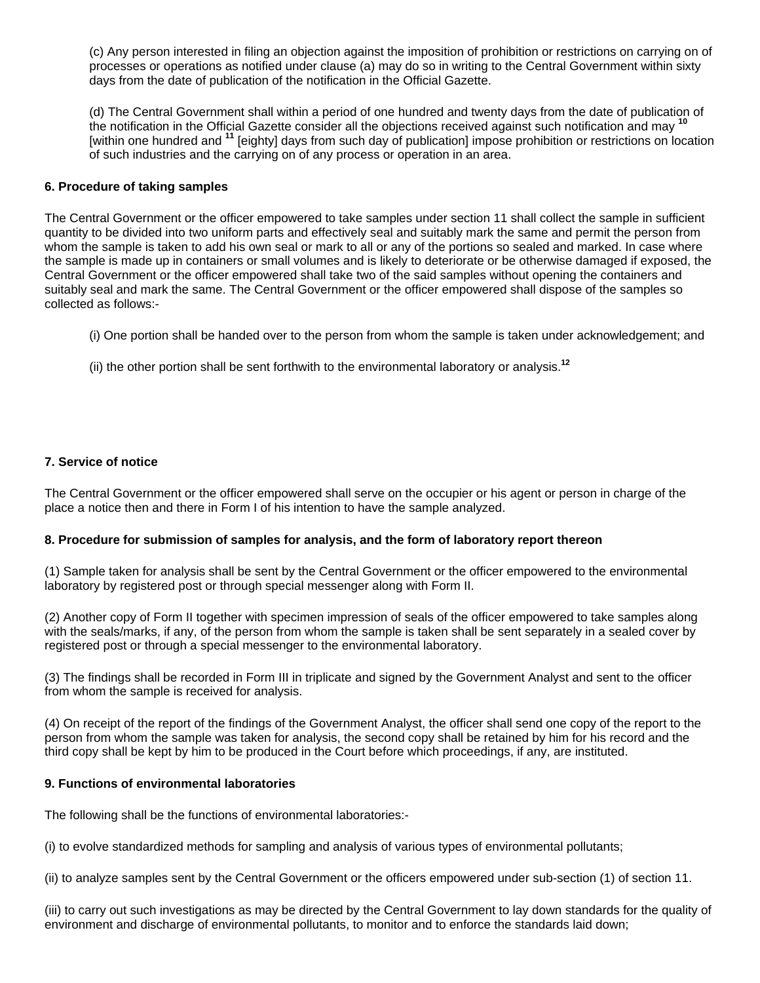(c) Any person interested in filing an objection against the imposition of prohibition or restrictions on carrying on of processes or operations as notified under clause (a) may do so in writing to the Central Government within sixty days from the date of publication of the notification in the Official Gazette.

(d) The Central Government shall within a period of one hundred and twenty days from the date of publication of the notification in the Official Gazette consider all the objections received against such notification and may **<sup>10</sup>** [within one hundred and **<sup>11</sup>** [eighty] days from such day of publication] impose prohibition or restrictions on location of such industries and the carrying on of any process or operation in an area.

## **6. Procedure of taking samples**

The Central Government or the officer empowered to take samples under section 11 shall collect the sample in sufficient quantity to be divided into two uniform parts and effectively seal and suitably mark the same and permit the person from whom the sample is taken to add his own seal or mark to all or any of the portions so sealed and marked. In case where the sample is made up in containers or small volumes and is likely to deteriorate or be otherwise damaged if exposed, the Central Government or the officer empowered shall take two of the said samples without opening the containers and suitably seal and mark the same. The Central Government or the officer empowered shall dispose of the samples so collected as follows:-

- (i) One portion shall be handed over to the person from whom the sample is taken under acknowledgement; and
- (ii) the other portion shall be sent forthwith to the environmental laboratory or analysis.**<sup>12</sup>**

## **7. Service of notice**

The Central Government or the officer empowered shall serve on the occupier or his agent or person in charge of the place a notice then and there in Form I of his intention to have the sample analyzed.

### **8. Procedure for submission of samples for analysis, and the form of laboratory report thereon**

(1) Sample taken for analysis shall be sent by the Central Government or the officer empowered to the environmental laboratory by registered post or through special messenger along with Form II.

(2) Another copy of Form II together with specimen impression of seals of the officer empowered to take samples along with the seals/marks, if any, of the person from whom the sample is taken shall be sent separately in a sealed cover by registered post or through a special messenger to the environmental laboratory.

(3) The findings shall be recorded in Form III in triplicate and signed by the Government Analyst and sent to the officer from whom the sample is received for analysis.

(4) On receipt of the report of the findings of the Government Analyst, the officer shall send one copy of the report to the person from whom the sample was taken for analysis, the second copy shall be retained by him for his record and the third copy shall be kept by him to be produced in the Court before which proceedings, if any, are instituted.

### **9. Functions of environmental laboratories**

The following shall be the functions of environmental laboratories:-

(i) to evolve standardized methods for sampling and analysis of various types of environmental pollutants;

(ii) to analyze samples sent by the Central Government or the officers empowered under sub-section (1) of section 11.

(iii) to carry out such investigations as may be directed by the Central Government to lay down standards for the quality of environment and discharge of environmental pollutants, to monitor and to enforce the standards laid down;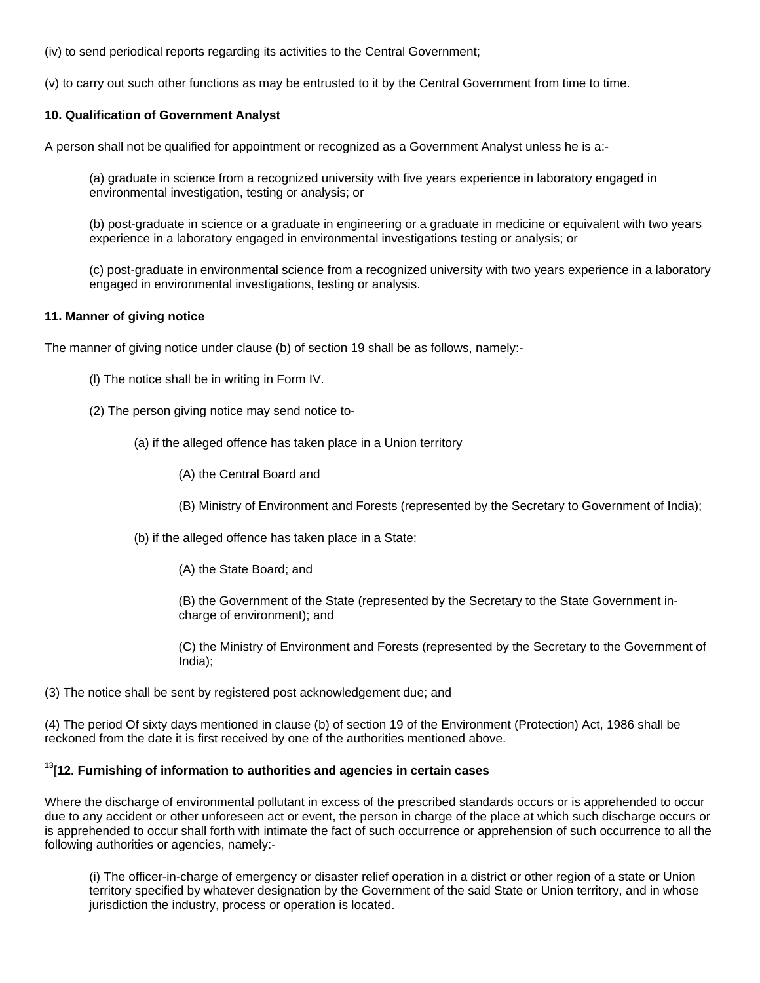(iv) to send periodical reports regarding its activities to the Central Government;

(v) to carry out such other functions as may be entrusted to it by the Central Government from time to time.

## **10. Qualification of Government Analyst**

A person shall not be qualified for appointment or recognized as a Government Analyst unless he is a:-

(a) graduate in science from a recognized university with five years experience in laboratory engaged in environmental investigation, testing or analysis; or

(b) post-graduate in science or a graduate in engineering or a graduate in medicine or equivalent with two years experience in a laboratory engaged in environmental investigations testing or analysis; or

(c) post-graduate in environmental science from a recognized university with two years experience in a laboratory engaged in environmental investigations, testing or analysis.

### **11. Manner of giving notice**

The manner of giving notice under clause (b) of section 19 shall be as follows, namely:-

- (l) The notice shall be in writing in Form IV.
- (2) The person giving notice may send notice to-
	- (a) if the alleged offence has taken place in a Union territory
		- (A) the Central Board and
		- (B) Ministry of Environment and Forests (represented by the Secretary to Government of India);
	- (b) if the alleged offence has taken place in a State:
		- (A) the State Board; and

(B) the Government of the State (represented by the Secretary to the State Government incharge of environment); and

(C) the Ministry of Environment and Forests (represented by the Secretary to the Government of India);

(3) The notice shall be sent by registered post acknowledgement due; and

(4) The period Of sixty days mentioned in clause (b) of section 19 of the Environment (Protection) Act, 1986 shall be reckoned from the date it is first received by one of the authorities mentioned above.

### **<sup>13</sup>**[**12. Furnishing of information to authorities and agencies in certain cases**

Where the discharge of environmental pollutant in excess of the prescribed standards occurs or is apprehended to occur due to any accident or other unforeseen act or event, the person in charge of the place at which such discharge occurs or is apprehended to occur shall forth with intimate the fact of such occurrence or apprehension of such occurrence to all the following authorities or agencies, namely:-

(i) The officer-in-charge of emergency or disaster relief operation in a district or other region of a state or Union territory specified by whatever designation by the Government of the said State or Union territory, and in whose jurisdiction the industry, process or operation is located.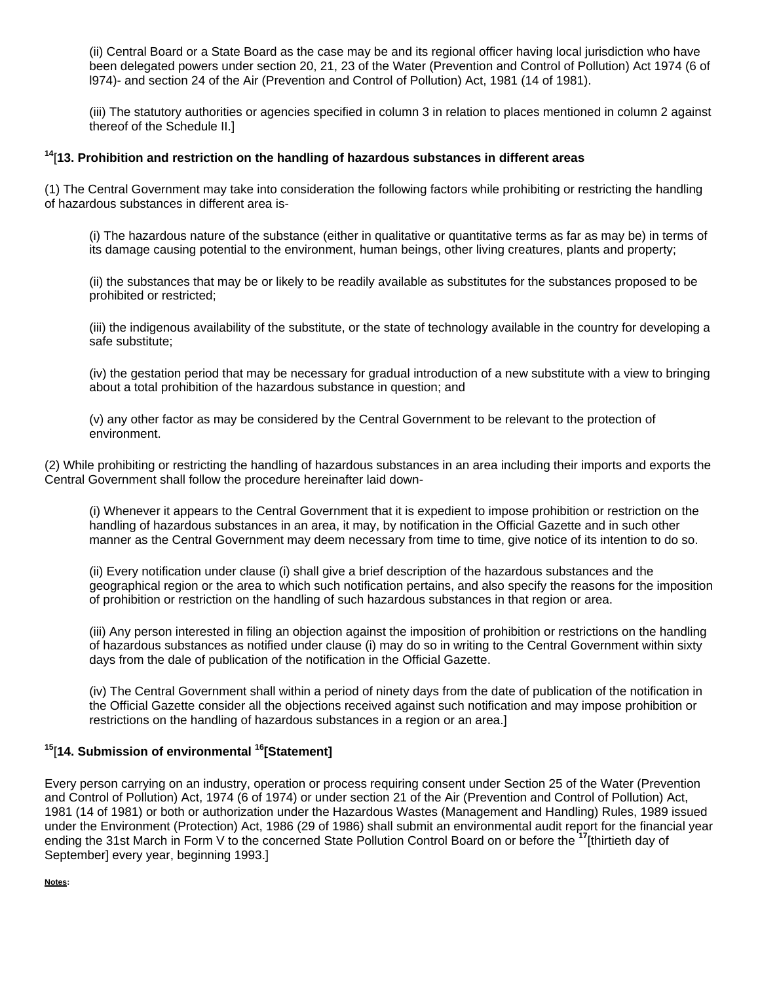(ii) Central Board or a State Board as the case may be and its regional officer having local jurisdiction who have been delegated powers under section 20, 21, 23 of the Water (Prevention and Control of Pollution) Act 1974 (6 of l974)- and section 24 of the Air (Prevention and Control of Pollution) Act, 1981 (14 of 1981).

(iii) The statutory authorities or agencies specified in column 3 in relation to places mentioned in column 2 against thereof of the Schedule II.]

## **<sup>14</sup>**[**13. Prohibition and restriction on the handling of hazardous substances in different areas**

(1) The Central Government may take into consideration the following factors while prohibiting or restricting the handling of hazardous substances in different area is-

(i) The hazardous nature of the substance (either in qualitative or quantitative terms as far as may be) in terms of its damage causing potential to the environment, human beings, other living creatures, plants and property;

(ii) the substances that may be or likely to be readily available as substitutes for the substances proposed to be prohibited or restricted;

(iii) the indigenous availability of the substitute, or the state of technology available in the country for developing a safe substitute;

(iv) the gestation period that may be necessary for gradual introduction of a new substitute with a view to bringing about a total prohibition of the hazardous substance in question; and

(v) any other factor as may be considered by the Central Government to be relevant to the protection of environment.

(2) While prohibiting or restricting the handling of hazardous substances in an area including their imports and exports the Central Government shall follow the procedure hereinafter laid down-

(i) Whenever it appears to the Central Government that it is expedient to impose prohibition or restriction on the handling of hazardous substances in an area, it may, by notification in the Official Gazette and in such other manner as the Central Government may deem necessary from time to time, give notice of its intention to do so.

(ii) Every notification under clause (i) shall give a brief description of the hazardous substances and the geographical region or the area to which such notification pertains, and also specify the reasons for the imposition of prohibition or restriction on the handling of such hazardous substances in that region or area.

(iii) Any person interested in filing an objection against the imposition of prohibition or restrictions on the handling of hazardous substances as notified under clause (i) may do so in writing to the Central Government within sixty days from the dale of publication of the notification in the Official Gazette.

(iv) The Central Government shall within a period of ninety days from the date of publication of the notification in the Official Gazette consider all the objections received against such notification and may impose prohibition or restrictions on the handling of hazardous substances in a region or an area.]

# **<sup>15</sup>**[**14. Submission of environmental 16[Statement]**

Every person carrying on an industry, operation or process requiring consent under Section 25 of the Water (Prevention and Control of Pollution) Act, 1974 (6 of 1974) or under section 21 of the Air (Prevention and Control of Pollution) Act, 1981 (14 of 1981) or both or authorization under the Hazardous Wastes (Management and Handling) Rules, 1989 issued under the Environment (Protection) Act, 1986 (29 of 1986) shall submit an environmental audit report for the financial year ending the 31st March in Form V to the concerned State Pollution Control Board on or before the **<sup>17</sup>**[thirtieth day of September] every year, beginning 1993.]

**Notes:**